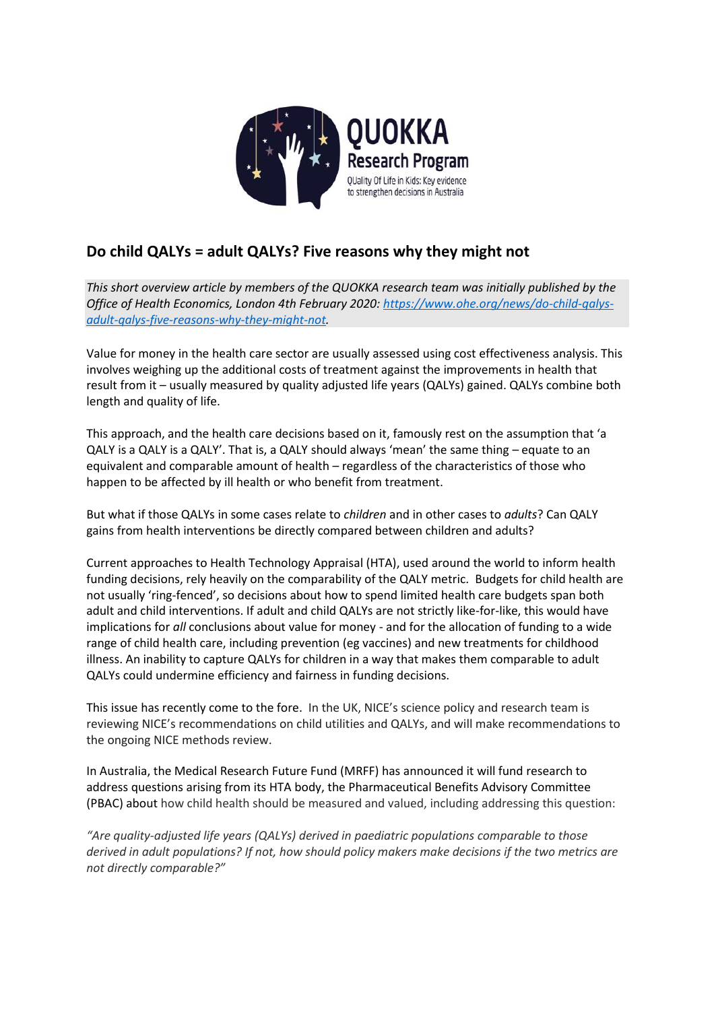

# **Do child QALYs = adult QALYs? Five reasons why they might not**

*This short overview article by members of the QUOKKA research team was initially published by the Office of Health Economics, London 4th February 2020: [https://www.ohe.org/news/do-child-qalys](https://www.ohe.org/news/do-child-qalys-adult-qalys-five-reasons-why-they-might-not)[adult-qalys-five-reasons-why-they-might-not.](https://www.ohe.org/news/do-child-qalys-adult-qalys-five-reasons-why-they-might-not)* 

Value for money in the health care sector are usually assessed using cost effectiveness analysis. This involves weighing up the additional costs of treatment against the improvements in health that result from it – usually measured by quality adjusted life years (QALYs) gained. QALYs combine both length and quality of life.

This approach, and the health care decisions based on it, famously rest on the assumption that 'a QALY is a QALY is a QALY'. That is, a QALY should always 'mean' the same thing – equate to an equivalent and comparable amount of health – regardless of the characteristics of those who happen to be affected by ill health or who benefit from treatment.

But what if those QALYs in some cases relate to *children* and in other cases to *adults*? Can QALY gains from health interventions be directly compared between children and adults?

Current approaches to Health Technology Appraisal (HTA), used around the world to inform health funding decisions, rely heavily on the comparability of the QALY metric. Budgets for child health are not usually 'ring-fenced', so decisions about how to spend limited health care budgets span both adult and child interventions. If adult and child QALYs are not strictly like-for-like, this would have implications for *all* conclusions about value for money - and for the allocation of funding to a wide range of child health care, including prevention (eg vaccines) and new treatments for childhood illness. An inability to capture QALYs for children in a way that makes them comparable to adult QALYs could undermine efficiency and fairness in funding decisions.

This issue has recently come to the fore. In the UK, NICE's science policy and research team is reviewing NICE's recommendations on child utilities and QALYs, and will make recommendations to the ongoing NICE methods review.

In Australia, the Medical Research Future Fund (MRFF) has announced it will fund research to address questions arising from its HTA body, the Pharmaceutical Benefits Advisory Committee (PBAC) about how child health should be measured and valued, including addressing this question:

*"Are quality-adjusted life years (QALYs) derived in paediatric populations comparable to those derived in adult populations? If not, how should policy makers make decisions if the two metrics are not directly comparable?"*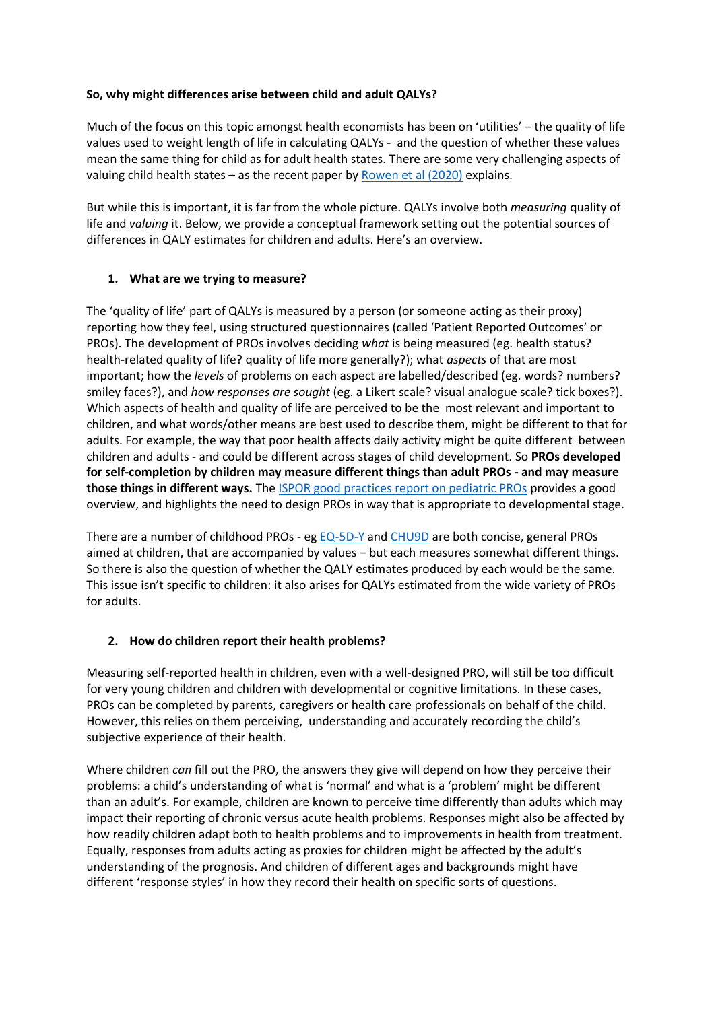#### **So, why might differences arise between child and adult QALYs?**

Much of the focus on this topic amongst health economists has been on 'utilities' – the quality of life values used to weight length of life in calculating QALYs - and the question of whether these values mean the same thing for child as for adult health states. There are some very challenging aspects of valuing child health states – as the recent paper by Rowen et al  $(2020)$  explains.

But while this is important, it is far from the whole picture. QALYs involve both *measuring* quality of life and *valuing* it. Below, we provide a conceptual framework setting out the potential sources of differences in QALY estimates for children and adults. Here's an overview.

#### **1. What are we trying to measure?**

The 'quality of life' part of QALYs is measured by a person (or someone acting as their proxy) reporting how they feel, using structured questionnaires (called 'Patient Reported Outcomes' or PROs). The development of PROs involves deciding *what* is being measured (eg. health status? health-related quality of life? quality of life more generally?); what *aspects* of that are most important; how the *levels* of problems on each aspect are labelled/described (eg. words? numbers? smiley faces?), and *how responses are sought* (eg. a Likert scale? visual analogue scale? tick boxes?). Which aspects of health and quality of life are perceived to be the most relevant and important to children, and what words/other means are best used to describe them, might be different to that for adults. For example, the way that poor health affects daily activity might be quite different between children and adults - and could be different across stages of child development. So **PROs developed for self-completion by children may measure different things than adult PROs - and may measure those things in different ways.** The [ISPOR good practices report on pediatric PROs](https://www.valueinhealthjournal.com/article/S1098-3015(13)01801-9/fulltext?_returnURL=https%3A%2F%2Flinkinghub.elsevier.com%2Fretrieve%2Fpii%2FS1098301513018019%3Fshowall%3Dtrue) provides a good overview, and highlights the need to design PROs in way that is appropriate to developmental stage.

There are a number of childhood PROs - eg  $EQ$ -5D-Y an[d CHU9D](https://www.sheffield.ac.uk/scharr/sections/heds/mvh/paediatric/pubandpres) are both concise, general PROs aimed at children, that are accompanied by values – but each measures somewhat different things. So there is also the question of whether the QALY estimates produced by each would be the same. This issue isn't specific to children: it also arises for QALYs estimated from the wide variety of PROs for adults.

#### **2. How do children report their health problems?**

Measuring self-reported health in children, even with a well-designed PRO, will still be too difficult for very young children and children with developmental or cognitive limitations. In these cases, PROs can be completed by parents, caregivers or health care professionals on behalf of the child. However, this relies on them perceiving, understanding and accurately recording the child's subjective experience of their health.

Where children *can* fill out the PRO, the answers they give will depend on how they perceive their problems: a child's understanding of what is 'normal' and what is a 'problem' might be different than an adult's. For example, children are known to perceive time differently than adults which may impact their reporting of chronic versus acute health problems. Responses might also be affected by how readily children adapt both to health problems and to improvements in health from treatment. Equally, responses from adults acting as proxies for children might be affected by the adult's understanding of the prognosis. And children of different ages and backgrounds might have different 'response styles' in how they record their health on specific sorts of questions.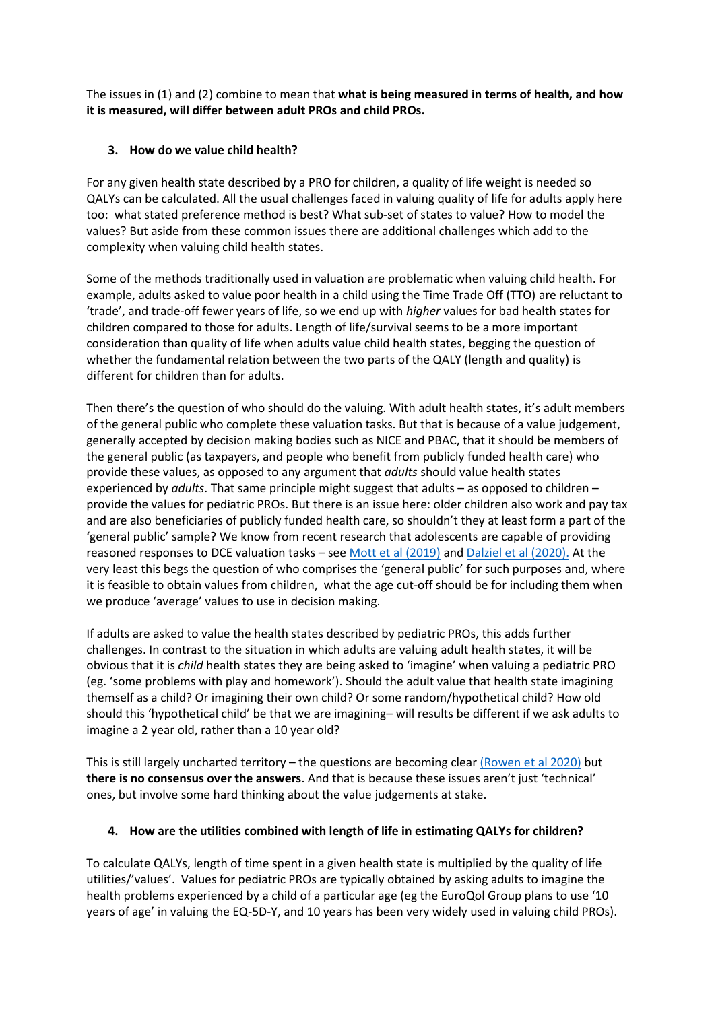The issues in (1) and (2) combine to mean that **what is being measured in terms of health, and how it is measured, will differ between adult PROs and child PROs.** 

### **3. How do we value child health?**

For any given health state described by a PRO for children, a quality of life weight is needed so QALYs can be calculated. All the usual challenges faced in valuing quality of life for adults apply here too: what stated preference method is best? What sub-set of states to value? How to model the values? But aside from these common issues there are additional challenges which add to the complexity when valuing child health states.

Some of the methods traditionally used in valuation are problematic when valuing child health. For example, adults asked to value poor health in a child using the Time Trade Off (TTO) are reluctant to 'trade', and trade-off fewer years of life, so we end up with *higher* values for bad health states for children compared to those for adults. Length of life/survival seems to be a more important consideration than quality of life when adults value child health states, begging the question of whether the fundamental relation between the two parts of the QALY (length and quality) is different for children than for adults.

Then there's the question of who should do the valuing. With adult health states, it's adult members of the general public who complete these valuation tasks. But that is because of a value judgement, generally accepted by decision making bodies such as NICE and PBAC, that it should be members of the general public (as taxpayers, and people who benefit from publicly funded health care) who provide these values, as opposed to any argument that *adults* should value health states experienced by *adults*. That same principle might suggest that adults – as opposed to children – provide the values for pediatric PROs. But there is an issue here: older children also work and pay tax and are also beneficiaries of publicly funded health care, so shouldn't they at least form a part of the 'general public' sample? We know from recent research that adolescents are capable of providing reasoned responses to DCE valuation tasks – see [Mott et al \(2019\)](https://www.ohe.org/publications/valuing-eq-5d-y-health-states-using-discrete-choice-experiment-do-adult-and-adolescent) and [Dalziel et al \(2020\).](https://link.springer.com/article/10.1007%2Fs40273-020-00884-9) At the very least this begs the question of who comprises the 'general public' for such purposes and, where it is feasible to obtain values from children, what the age cut-off should be for including them when we produce 'average' values to use in decision making.

If adults are asked to value the health states described by pediatric PROs, this adds further challenges. In contrast to the situation in which adults are valuing adult health states, it will be obvious that it is *child* health states they are being asked to 'imagine' when valuing a pediatric PRO (eg. 'some problems with play and homework'). Should the adult value that health state imagining themself as a child? Or imagining their own child? Or some random/hypothetical child? How old should this 'hypothetical child' be that we are imagining– will results be different if we ask adults to imagine a 2 year old, rather than a 10 year old?

This is still largely uncharted territory – the questions are becoming clear [\(Rowen et al 2020\)](http://eprints.whiterose.ac.uk/154523/) but **there is no consensus over the answers**. And that is because these issues aren't just 'technical' ones, but involve some hard thinking about the value judgements at stake.

#### **4. How are the utilities combined with length of life in estimating QALYs for children?**

To calculate QALYs, length of time spent in a given health state is multiplied by the quality of life utilities/'values'. Values for pediatric PROs are typically obtained by asking adults to imagine the health problems experienced by a child of a particular age (eg the EuroQol Group plans to use '10 years of age' in valuing the EQ-5D-Y, and 10 years has been very widely used in valuing child PROs).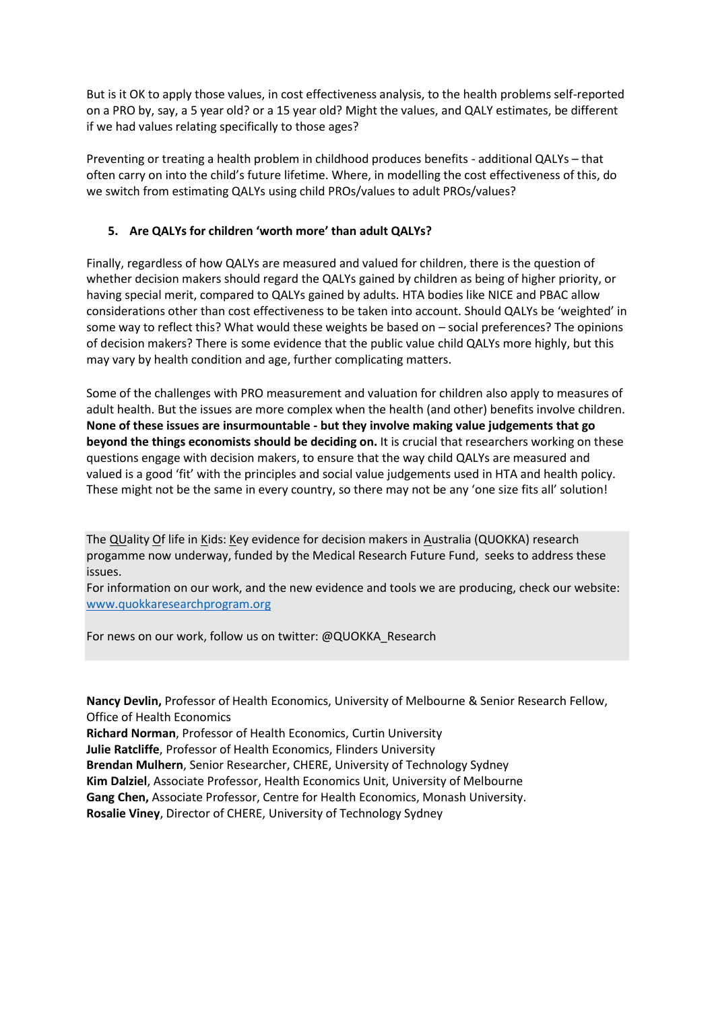But is it OK to apply those values, in cost effectiveness analysis, to the health problems self-reported on a PRO by, say, a 5 year old? or a 15 year old? Might the values, and QALY estimates, be different if we had values relating specifically to those ages?

Preventing or treating a health problem in childhood produces benefits - additional QALYs – that often carry on into the child's future lifetime. Where, in modelling the cost effectiveness of this, do we switch from estimating QALYs using child PROs/values to adult PROs/values?

## **5. Are QALYs for children 'worth more' than adult QALYs?**

Finally, regardless of how QALYs are measured and valued for children, there is the question of whether decision makers should regard the QALYs gained by children as being of higher priority, or having special merit, compared to QALYs gained by adults. HTA bodies like NICE and PBAC allow considerations other than cost effectiveness to be taken into account. Should QALYs be 'weighted' in some way to reflect this? What would these weights be based on – social preferences? The opinions of decision makers? There is some evidence that the public value child QALYs more highly, but this may vary by health condition and age, further complicating matters.

Some of the challenges with PRO measurement and valuation for children also apply to measures of adult health. But the issues are more complex when the health (and other) benefits involve children. **None of these issues are insurmountable - but they involve making value judgements that go beyond the things economists should be deciding on.** It is crucial that researchers working on these questions engage with decision makers, to ensure that the way child QALYs are measured and valued is a good 'fit' with the principles and social value judgements used in HTA and health policy. These might not be the same in every country, so there may not be any 'one size fits all' solution!

The QUality Of life in Kids: Key evidence for decision makers in Australia (QUOKKA) research progamme now underway, funded by the Medical Research Future Fund, seeks to address these issues.

For information on our work, and the new evidence and tools we are producing, check our website: [www.quokkaresearchprogram.org](http://www.quokkaresearchprogram.org/)

For news on our work, follow us on twitter: @QUOKKA\_Research

**Nancy Devlin,** Professor of Health Economics, University of Melbourne & Senior Research Fellow, Office of Health Economics

**Richard Norman**, Professor of Health Economics, Curtin University **Julie Ratcliffe**, Professor of Health Economics, Flinders University **Brendan Mulhern**, Senior Researcher, CHERE, University of Technology Sydney **Kim Dalziel**, Associate Professor, Health Economics Unit, University of Melbourne **Gang Chen,** Associate Professor, Centre for Health Economics, Monash University.

**Rosalie Viney**, Director of CHERE, University of Technology Sydney